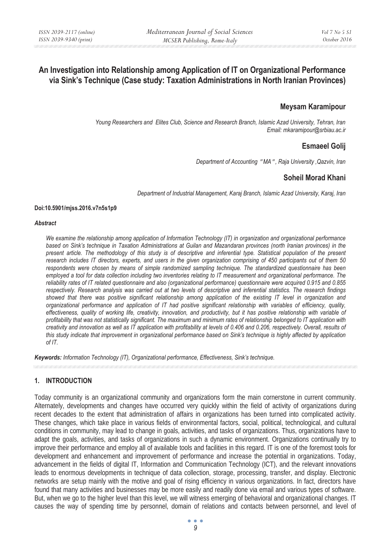# **An Investigation into Relationship among Application of IT on Organizational Performance via Sink's Technique (Case study: Taxation Administrations in North Iranian Provinces)**

# **Meysam Karamipour**

*Young Researchers and Elites Club, Science and Research Branch, Islamic Azad University, Tehran, Iran Email: mkaramipour@srbiau.ac.ir* 

# **Esmaeel Golij**

*Department of Accounting* " *MA*" *, Raja University ,Qazvin, Iran* 

# **Soheil Morad Khani**

*Department of Industrial Management, Karaj Branch, Islamic Azad University, Karaj, Iran* 

#### **Doi:10.5901/mjss.2016.v7n5s1p9**

#### *Abstract*

*We examine the relationship among application of Information Technology (IT) in organization and organizational performance based on Sink's technique in Taxation Administrations at Guilan and Mazandaran provinces (north Iranian provinces) in the present article. The methodology of this study is of descriptive and inferential type. Statistical population of the present research includes IT directors, experts, and users in the given organization comprising of 450 participants out of them 50 respondents were chosen by means of simple randomized sampling technique. The standardized questionnaire has been employed a tool for data collection including two inventories relating to IT measurement and organizational performance. The reliability rates of IT related questionnaire and also (organizational performance) questionnaire were acquired 0.915 and 0.855 respectively. Research analysis was carried out at two levels of descriptive and inferential statistics. The research findings showed that there was positive significant relationship among application of the existing IT level in organization and organizational performance and application of IT had positive significant relationship with variables of efficiency, quality, effectiveness, quality of working life, creativity, innovation, and productivity, but it has positive relationship with variable of profitability that was not statistically significant. The maximum and minimum rates of relationship belonged to IT application with creativity and innovation as well as IT application with profitability at levels of 0.406 and 0.206, respectively. Overall, results of this study indicate that improvement in organizational performance based on Sink's technique is highly affected by application of IT.* 

*Keywords: Information Technology (IT), Organizational performance, Effectiveness, Sink's technique.* 

# **1. INTRODUCTION**

Today community is an organizational community and organizations form the main cornerstone in current community. Alternately, developments and changes have occurred very quickly within the field of activity of organizations during recent decades to the extent that administration of affairs in organizations has been turned into complicated activity. These changes, which take place in various fields of environmental factors, social, political, technological, and cultural conditions in community, may lead to change in goals, activities, and tasks of organizations. Thus, organizations have to adapt the goals, activities, and tasks of organizations in such a dynamic environment. Organizations continually try to improve their performance and employ all of available tools and facilities in this regard. IT is one of the foremost tools for development and enhancement and improvement of performance and increase the potential in organizations. Today, advancement in the fields of digital IT, Information and Communication Technology (ICT), and the relevant innovations leads to enormous developments in technique of data collection, storage, processing, transfer, and display. Electronic networks are setup mainly with the motive and goal of rising efficiency in various organizations. In fact, directors have found that many activities and businesses may be more easily and readily done via email and various types of software. But, when we go to the higher level than this level, we will witness emerging of behavioral and organizational changes. IT causes the way of spending time by personnel, domain of relations and contacts between personnel, and level of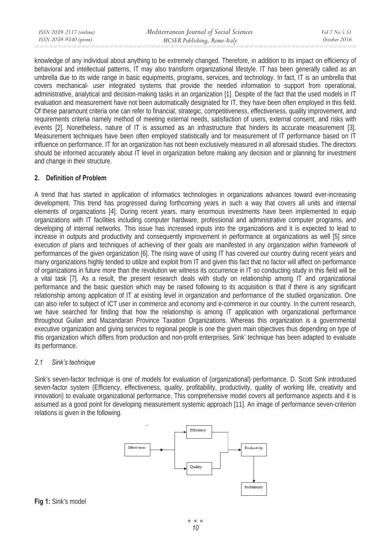| ISSN 2039-2117 (online) | Mediterranean Journal of Social Sciences | <i>Vol 7 No 5 S1</i> |
|-------------------------|------------------------------------------|----------------------|
| ISSN 2039-9340 (print)  | MCSER Publishing, Rome-Italy             | October 2016         |

knowledge of any individual about anything to be extremely changed. Therefore, in addition to its impact on efficiency of behavioral and intellectual patterns, IT may also transform organizational lifestyle. IT has been generally called as an umbrella due to its wide range in basic equipments, programs, services, and technology. In fact, IT is an umbrella that covers mechanical- user integrated systems that provide the needed information to support from operational, administrative, analytical and decision-making tasks in an organization [1]. Despite of the fact that the used models in IT evaluation and measurement have not been automatically designated for IT, they have been often employed in this field. Of these paramount criteria one can refer to financial, strategic, competitiveness, effectiveness, quality improvement, and requirements criteria namely method of meeting external needs, satisfaction of users, external consent, and risks with events [2]. Nonetheless, nature of IT is assumed as an infrastructure that hinders its accurate measurement [3]. Measurement techniques have been often employed statistically and for measurement of IT performance based on IT influence on performance. IT for an organization has not been exclusively measured in all aforesaid studies. The directors should be informed accurately about IT level in organization before making any decision and or planning for investment and change in their structure.

### **2. Definition of Problem**

A trend that has started in application of informatics technologies in organizations advances toward ever-increasing development. This trend has progressed during forthcoming years in such a way that covers all units and internal elements of organizations [4]. During recent years, many enormous investments have been implemented to equip organizations with IT facilities including computer hardware, professional and administrative computer programs, and developing of internal networks. This issue has increased inputs into the organizations and it is expected to lead to increase in outputs and productivity and consequently improvement in performance at organizations as well [5] since execution of plans and techniques of achieving of their goals are manifested in any organization within framework of performances of the given organization [6]. The rising wave of using IT has covered our country during recent years and many organizations highly tended to utilize and exploit from IT and given this fact that no factor will affect on performance of organizations in future more than the revolution we witness its occurrence in IT so conducting study in this field will be a vital task [7]. As a result, the present research deals with study on relationship among IT and organizational performance and the basic question which may be raised following to its acquisition is that if there is any significant relationship among application of IT at existing level in organization and performance of the studied organization. One can also refer to subject of ICT user in commerce and economy and e-commerce in our country. In the current research, we have searched for finding that how the relationship is among IT application with organizational performance throughout Guilan and Mazandaran Province Taxation Organizations. Whereas this organization is a governmental executive organization and giving services to regional people is one the given main objectives thus depending on type of this organization which differs from production and non-profit enterprises, Sink' technique has been adapted to evaluate its performance.

#### *2.1 Sink's technique*

Sink's seven-factor technique is one of models for evaluation of (organizational) performance. D. Scott Sink introduced seven-factor system (Efficiency, effectiveness, quality, profitability, productivity, quality of working life, creativity and innovation) to evaluate organizational performance. This comprehensive model covers all performance aspects and it is assumed as a good point for developing measurement systemic approach [11]. An image of performance seven-criterion relations is given in the following.



**Fig 1:** Sink's model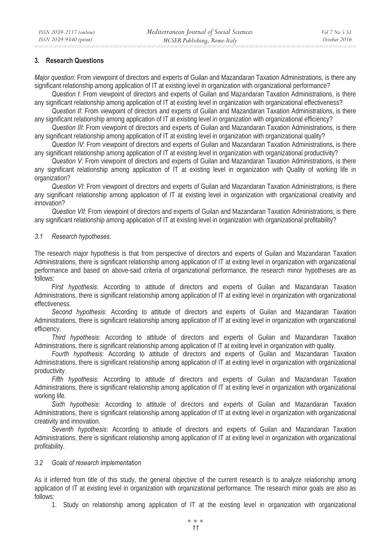### **3. Research Questions**

*Major question*: From viewpoint of directors and experts of Guilan and Mazandaran Taxation Administrations, is there any significant relationship among application of IT at existing level in organization with organizational performance?

*Question I*: From viewpoint of directors and experts of Guilan and Mazandaran Taxation Administrations, is there any significant relationship among application of IT at existing level in organization with organizational effectiveness?

*Question II*: From viewpoint of directors and experts of Guilan and Mazandaran Taxation Administrations, is there any significant relationship among application of IT at existing level in organization with organizational efficiency?

*Question III*: From viewpoint of directors and experts of Guilan and Mazandaran Taxation Administrations, is there any significant relationship among application of IT at existing level in organization with organizational quality?

*Question IV*: From viewpoint of directors and experts of Guilan and Mazandaran Taxation Administrations, is there any significant relationship among application of IT at existing level in organization with organizational productivity?

*Question V*: From viewpoint of directors and experts of Guilan and Mazandaran Taxation Administrations, is there any significant relationship among application of IT at existing level in organization with Quality of working life in organization?

*Question VI*: From viewpoint of directors and experts of Guilan and Mazandaran Taxation Administrations, is there any significant relationship among application of IT at existing level in organization with organizational creativity and innovation?

*Question VII*: From viewpoint of directors and experts of Guilan and Mazandaran Taxation Administrations, is there any significant relationship among application of IT at existing level in organization with organizational profitability?

### *3.1 Research hypotheses:*

The research major hypothesis is that from perspective of directors and experts of Guilan and Mazandaran Taxation Administrations, there is significant relationship among application of IT at exiting level in organization with organizational performance and based on above-said criteria of organizational performance, the research minor hypotheses are as follows:

*First hypothesis*: According to attitude of directors and experts of Guilan and Mazandaran Taxation Administrations, there is significant relationship among application of IT at exiting level in organization with organizational effectiveness.

*Second hypothesis*: According to attitude of directors and experts of Guilan and Mazandaran Taxation Administrations, there is significant relationship among application of IT at exiting level in organization with organizational efficiency.

*Third hypothesis*: According to attitude of directors and experts of Guilan and Mazandaran Taxation Administrations, there is significant relationship among application of IT at exiting level in organization with quality.

*Fourth hypothesis*: According to attitude of directors and experts of Guilan and Mazandaran Taxation Administrations, there is significant relationship among application of IT at exiting level in organization with organizational productivity.

*Fifth hypothesis*: According to attitude of directors and experts of Guilan and Mazandaran Taxation Administrations, there is significant relationship among application of IT at exiting level in organization with organizational working life.

*Sixth hypothesis*: According to attitude of directors and experts of Guilan and Mazandaran Taxation Administrations, there is significant relationship among application of IT at exiting level in organization with organizational creativity and innovation.

*Seventh hypothesis*: According to attitude of directors and experts of Guilan and Mazandaran Taxation Administrations, there is significant relationship among application of IT at exiting level in organization with organizational profitability.

### *3.2 Goals of research implementation*

As it inferred from title of this study, the general objective of the current research is to analyze relationship among application of IT at existing level in organization with organizational performance. The research minor goals are also as follows:

1. Study on relationship among application of IT at the existing level in organization with organizational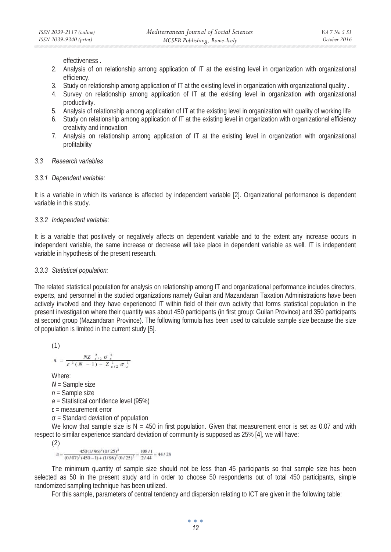effectiveness .

- 2. Analysis of on relationship among application of IT at the existing level in organization with organizational efficiency.
- 3. Study on relationship among application of IT at the existing level in organization with organizational quality .
- 4. Survey on relationship among application of IT at the existing level in organization with organizational productivity.
- 5. Analysis of relationship among application of IT at the existing level in organization with quality of working life
- 6. Study on relationship among application of IT at the existing level in organization with organizational efficiency creativity and innovation
- 7. Analysis on relationship among application of IT at the existing level in organization with organizational profitability

### *3.3 Research variables*

#### *3.3.1 Dependent variable:*

It is a variable in which its variance is affected by independent variable [2]. Organizational performance is dependent variable in this study.

#### *3.3.2 Independent variable:*

It is a variable that positively or negatively affects on dependent variable and to the extent any increase occurs in independent variable, the same increase or decrease will take place in dependent variable as well. IT is independent variable in hypothesis of the present research.

#### *3.3.3 Statistical population:*

The related statistical population for analysis on relationship among IT and organizational performance includes directors, experts, and personnel in the studied organizations namely Guilan and Mazandaran Taxation Administrations have been actively involved and they have experienced IT within field of their own activity that forms statistical population in the present investigation where their quantity was about 450 participants (in first group: Guilan Province) and 350 participants at second group (Mazandaran Province). The following formula has been used to calculate sample size because the size of population is limited in the current study [5].

$$
(1)
$$

$$
n = \frac{NZ_{a/2}^2 \sigma_x^2}{\varepsilon^2 (N-1) + Z_{a/2}^2 \sigma_x^2}
$$

Where:

*N* = Sample size

- *n* = Sample size
- *a* = Statistical confidence level (95%)
- $\epsilon$  = measurement error
- $\sigma$  = Standard deviation of population

We know that sample size is  $N = 450$  in first population. Given that measurement error is set as 0.07 and with respect to similar experience standard deviation of community is supposed as 25% [4], we will have:

(2)

 $450(1/96)^2(0/25)^2$ 

 $T_n = \frac{450(1/96)^2(0/25)^2}{(0/07)^2(450-1)+(1/96)^2(0/25)^2} = \frac{108/1}{2/44} = 44/28$ <br>The minimum quantity of sample size should not be less than 45 participants so that sample size has been selected as 50 in the present study and in order to choose 50 respondents out of total 450 participants, simple randomized sampling technique has been utilized.

For this sample, parameters of central tendency and dispersion relating to ICT are given in the following table:

 $\bullet$   $\bullet$   $\bullet$ *12*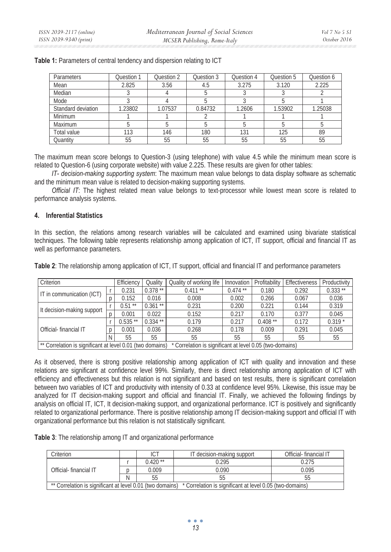| Parameters         | Question 1 | Question 2 | Question 3 | Question 4 | Question 5 | Question 6 |
|--------------------|------------|------------|------------|------------|------------|------------|
| Mean               | 2.825      | 3.56       | 4.5        | 3.275      | 3.120      | 2.225      |
| Median             |            |            |            |            |            |            |
| Mode               |            |            |            |            |            |            |
| Standard deviation | 1.23802    | 1.07537    | 0.84732    | 1.2606     | 1.53902    | 1.25038    |
| Minimum            |            |            |            |            |            |            |
| Maximum            |            |            |            |            |            |            |
| Total value        | 113        | 146        | 180        | 131        | 125        | 89         |
| Quantity           | 55         | 55         | 55         | 55         | 55         | 55         |

**Table 1:** Parameters of central tendency and dispersion relating to ICT

The maximum mean score belongs to Question-3 (using telephone) with value 4.5 while the minimum mean score is related to Question-6 (using corporate website) with value 2.225. These results are given for other tables:

*IT- decision-making supporting system*: The maximum mean value belongs to data display software as schematic and the minimum mean value is related to decision-making supporting systems.

*Official IT*: The highest related mean value belongs to text-processor while lowest mean score is related to performance analysis systems.

### **4. Inferential Statistics**

In this section, the relations among research variables will be calculated and examined using bivariate statistical techniques. The following table represents relationship among application of ICT, IT support, official and financial IT as well as performance parameters.

| Criterion                                                                                                           |  | Efficiency | Quality    | Quality of working life | Innovation | Profitability | Effectiveness | Productivity |
|---------------------------------------------------------------------------------------------------------------------|--|------------|------------|-------------------------|------------|---------------|---------------|--------------|
| IT in communication (ICT)                                                                                           |  | 0.231      | $0.378**$  | $0.411**$               | $0.474$ ** | 0.180         | 0.292         | $0.333**$    |
|                                                                                                                     |  | 0.152      | 0.016      | 0.008                   | 0.002      | 0.266         | 0.067         | 0.036        |
| It decision-making support                                                                                          |  | $0.51***$  | $0.361**$  | 0.231                   | 0.200      | 0.221         | 0.144         | 0.319        |
|                                                                                                                     |  | 0.001      | 0.022      | 0.152                   | 0.217      | 0.170         | 0.377         | 0.045        |
|                                                                                                                     |  | $0.535**$  | $0.334$ ** | 0.179                   | 0.217      | $0.408**$     | 0.172         | $0.319*$     |
| Official-financial IT                                                                                               |  | 0.001      | 0.036      | 0.268                   | 0.178      | 0.009         | 0.291         | 0.045        |
|                                                                                                                     |  | 55         | 55         | 55                      | 55         | 55            | 55            | 55           |
| ** Correlation is significant at level 0.01 (two domains)<br>Correlation is significant at level 0.05 (two-domains) |  |            |            |                         |            |               |               |              |

**Table 2**: The relationship among application of ICT, IT support, official and financial IT and performance parameters

As it observed, there is strong positive relationship among application of ICT with quality and innovation and these relations are significant at confidence level 99%. Similarly, there is direct relationship among application of ICT with efficiency and effectiveness but this relation is not significant and based on test results, there is significant correlation between two variables of ICT and productivity with intensity of 0.33 at confidence level 95%. Likewise, this issue may be analyzed for IT decision-making support and official and financial IT. Finally, we achieved the following findings by analysis on official IT, ICT, It decision-making support, and organizational performance. ICT is positively and significantly related to organizational performance. There is positive relationship among IT decision-making support and official IT with organizational performance but this relation is not statistically significant.

**Table 3**: The relationship among IT and organizational performance

| Criterion                                                                                                          |   | ICT       | IT decision-making support | Official-financial IT |  |  |
|--------------------------------------------------------------------------------------------------------------------|---|-----------|----------------------------|-----------------------|--|--|
|                                                                                                                    |   | $0.420**$ | ).295                      | 0.275                 |  |  |
| Official-financial IT                                                                                              |   | 0.009     | 0.090                      | 0.095                 |  |  |
|                                                                                                                    | Ν |           |                            | 55                    |  |  |
| ** Correlation is significant at level 0.01 (two domains) * Correlation is significant at level 0.05 (two-domains) |   |           |                            |                       |  |  |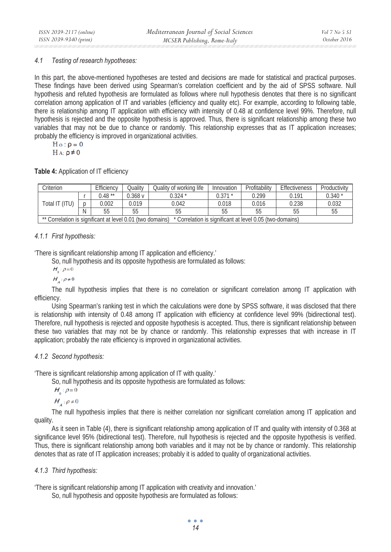### *4.1 Testing of research hypotheses:*

In this part, the above-mentioned hypotheses are tested and decisions are made for statistical and practical purposes. These findings have been derived using Spearman's correlation coefficient and by the aid of SPSS software. Null hypothesis and refuted hypothesis are formulated as follows where null hypothesis denotes that there is no significant correlation among application of IT and variables (efficiency and quality etc). For example, according to following table, there is relationship among IT application with efficiency with intensity of 0.48 at confidence level 99%. Therefore, null hypothesis is rejected and the opposite hypothesis is approved. Thus, there is significant relationship among these two variables that may not be due to chance or randomly. This relationship expresses that as IT application increases; probably the efficiency is improved in organizational activities.

$$
\bar{H}\,\mathrm{o}:\rho=0
$$

$$
H\mathrel{A:}\rho\neq0
$$

**Table 4:** Application of IT efficiency

| Criterion                                                                                                             |  | Efficiency | <b>Quality</b> | Quality of working life | Innovation  | Profitability | Effectiveness | Productivity |
|-----------------------------------------------------------------------------------------------------------------------|--|------------|----------------|-------------------------|-------------|---------------|---------------|--------------|
|                                                                                                                       |  | $0.48**$   | ).368 v        | 0.324 *                 | $0.371$ $*$ | 0.299         | 0.191         | $0.340*$     |
| Total IT (ITU)                                                                                                        |  | 0.002      | 0.019          | 0.042                   | 0.018       | 0.016         | 0.238         | 0.032        |
|                                                                                                                       |  | 55         | 55             |                         | 55          | 55            |               | 55           |
| ** Correlation is significant at level 0.01 (two domains)<br>* Correlation is significant at level 0.05 (two-domains) |  |            |                |                         |             |               |               |              |

# *4.1.1 First hypothesis:*

'There is significant relationship among IT application and efficiency.'

So, null hypothesis and its opposite hypothesis are formulated as follows:

 $H_{0}$ :  $\rho = 0$ 

 $H_A: \rho \neq 0$ <br>The null hypothesis implies that there is no correlation or significant correlation among IT application with efficiency.

Using Spearman's ranking test in which the calculations were done by SPSS software, it was disclosed that there is relationship with intensity of 0.48 among IT application with efficiency at confidence level 99% (bidirectional test). Therefore, null hypothesis is rejected and opposite hypothesis is accepted. Thus, there is significant relationship between these two variables that may not be by chance or randomly. This relationship expresses that with increase in IT application; probably the rate efficiency is improved in organizational activities.

# *4.1.2 Second hypothesis:*

'There is significant relationship among application of IT with quality.'

So, null hypothesis and its opposite hypothesis are formulated as follows:

 $H_{\circ}$ :  $\rho = 0$ 

 $H_A: \rho \neq 0$ <br>The null hypothesis implies that there is neither correlation nor significant correlation among IT application and quality.

As it seen in Table (4), there is significant relationship among application of IT and quality with intensity of 0.368 at significance level 95% (bidirectional test). Therefore, null hypothesis is rejected and the opposite hypothesis is verified. Thus, there is significant relationship among both variables and it may not be by chance or randomly. This relationship denotes that as rate of IT application increases; probably it is added to quality of organizational activities.

# *4.1.3 Third hypothesis:*

'There is significant relationship among IT application with creativity and innovation.'

So, null hypothesis and opposite hypothesis are formulated as follows:

 $\bullet$   $\bullet$   $\bullet$ *14*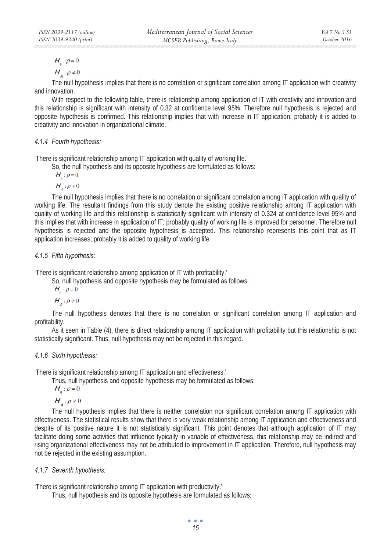*Mediterranean Journal of Social Sciences MCSER Publishing, Rome-Italy* 

$$
H_{0}:\rho=0
$$

$$
H_{a}:\rho\neq0
$$

 The null hypothesis implies that there is no correlation or significant correlation among IT application with creativity and innovation.

With respect to the following table, there is relationship among application of IT with creativity and innovation and this relationship is significant with intensity of 0.32 at confidence level 95%. Therefore null hypothesis is rejected and opposite hypothesis is confirmed. This relationship implies that with increase in IT application; probably it is added to creativity and innovation in organizational climate.

# *4.1.4 Fourth hypothesis:*

'There is significant relationship among IT application with quality of working life.'

So, the null hypothesis and its opposite hypothesis are formulated as follows:

$$
H_{0}:\rho=0
$$

 $H_A: \rho \neq 0$ <br>The null hypothesis implies that there is no correlation or significant correlation among IT application with quality of working life. The resultant findings from this study denote the existing positive relationship among IT application with quality of working life and this relationship is statistically significant with intensity of 0.324 at confidence level 95% and this implies that with increase in application of IT; probably quality of working life is improved for personnel. Therefore null hypothesis is rejected and the opposite hypothesis is accepted. This relationship represents this point that as IT application increases; probably it is added to quality of working life.

# *4.1.5 Fifth hypothesis:*

'There is significant relationship among application of IT with profitability.'

So, null hypothesis and opposite hypothesis may be formulated as follows:

 $H_{0}$ :  $\rho = 0$ 

 $H_A: \rho \neq 0$ <br>The null hypothesis denotes that there is no correlation or significant correlation among IT application and profitability.

As it seen in Table (4), there is direct relationship among IT application with profitability but this relationship is not statistically significant. Thus, null hypothesis may not be rejected in this regard.

# *4.1.6 Sixth hypothesis:*

'There is significant relationship among IT application and effectiveness.'

Thus, null hypothesis and opposite hypothesis may be formulated as follows:

 $H_{\circ}$ :  $\rho = 0$ 

 $H_A: \rho \neq 0$ <br>The null hypothesis implies that there is neither correlation nor significant correlation among IT application with effectiveness. The statistical results show that there is very weak relationship among IT application and effectiveness and despite of its positive nature it is not statistically significant. This point denotes that although application of IT may facilitate doing some activities that influence typically in variable of effectiveness, this relationship may be indirect and rising organizational effectiveness may not be attributed to improvement in IT application. Therefore, null hypothesis may not be rejected in the existing assumption.

# *4.1.7 Seventh hypothesis:*

'There is significant relationship among IT application with productivity.'

Thus, null hypothesis and its opposite hypothesis are formulated as follows:

 $\bullet$   $\bullet$   $\bullet$ *15*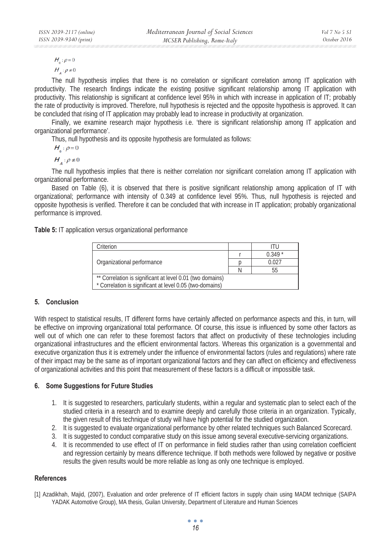$H_{0}$ :  $\rho = 0$ 

$$
H_{A}:\rho\neq0
$$

 The null hypothesis implies that there is no correlation or significant correlation among IT application with productivity. The research findings indicate the existing positive significant relationship among IT application with productivity. This relationship is significant at confidence level 95% in which with increase in application of IT; probably the rate of productivity is improved. Therefore, null hypothesis is rejected and the opposite hypothesis is approved. It can be concluded that rising of IT application may probably lead to increase in productivity at organization.

Finally, we examine research major hypothesis i.e. 'there is significant relationship among IT application and organizational performance'.

Thus, null hypothesis and its opposite hypothesis are formulated as follows:

 $H_{\circ}$ :  $\rho = 0$ 

 $H_A: \rho \neq 0$ <br>The null hypothesis implies that there is neither correlation nor significant correlation among IT application with organizational performance.

Based on Table (6), it is observed that there is positive significant relationship among application of IT with organizational; performance with intensity of 0.349 at confidence level 95%. Thus, null hypothesis is rejected and opposite hypothesis is verified. Therefore it can be concluded that with increase in IT application; probably organizational performance is improved.

**Table 5:** IT application versus organizational performance

| Criterion                                                 |  |          |  |  |
|-----------------------------------------------------------|--|----------|--|--|
|                                                           |  | $0.349*$ |  |  |
| Organizational performance                                |  | 0.027    |  |  |
|                                                           |  | 55       |  |  |
| ** Correlation is significant at level 0.01 (two domains) |  |          |  |  |
| * Correlation is significant at level 0.05 (two-domains)  |  |          |  |  |

### **5. Conclusion**

With respect to statistical results, IT different forms have certainly affected on performance aspects and this, in turn, will be effective on improving organizational total performance. Of course, this issue is influenced by some other factors as well out of which one can refer to these foremost factors that affect on productivity of these technologies including organizational infrastructures and the efficient environmental factors. Whereas this organization is a governmental and executive organization thus it is extremely under the influence of environmental factors (rules and regulations) where rate of their impact may be the same as of important organizational factors and they can affect on efficiency and effectiveness of organizational activities and this point that measurement of these factors is a difficult or impossible task.

### **6. Some Suggestions for Future Studies**

- 1. It is suggested to researchers, particularly students, within a regular and systematic plan to select each of the studied criteria in a research and to examine deeply and carefully those criteria in an organization. Typically, the given result of this technique of study will have high potential for the studied organization.
- 2. It is suggested to evaluate organizational performance by other related techniques such Balanced Scorecard.
- 3. It is suggested to conduct comparative study on this issue among several executive-servicing organizations.
- 4. It is recommended to use effect of IT on performance in field studies rather than using correlation coefficient and regression certainly by means difference technique. If both methods were followed by negative or positive results the given results would be more reliable as long as only one technique is employed.

### **References**

[1] Azadikhah, Majid, (2007), Evaluation and order preference of IT efficient factors in supply chain using MADM technique (SAIPA YADAK Automotive Group), MA thesis, Guilan University, Department of Literature and Human Sciences